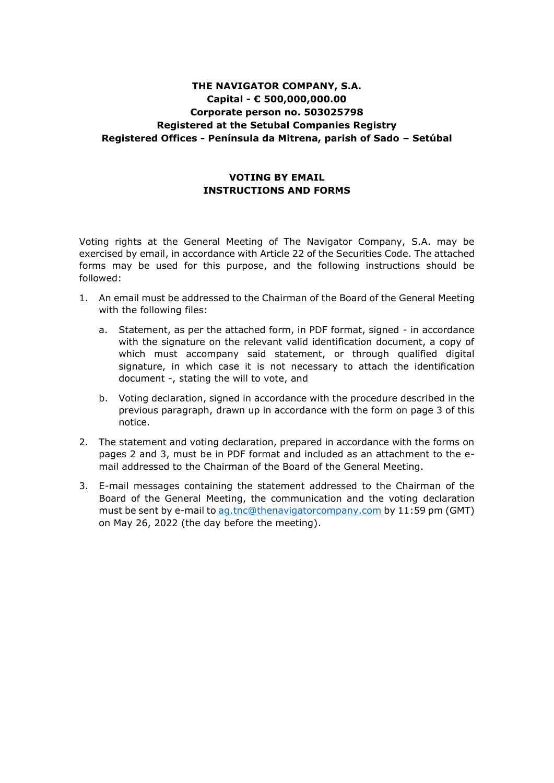# **THE NAVIGATOR COMPANY, S.A. Capital - € 500,000,000.00 Corporate person no. 503025798 Registered at the Setubal Companies Registry Registered Offices - Península da Mitrena, parish of Sado – Setúbal**

## **VOTING BY EMAIL INSTRUCTIONS AND FORMS**

Voting rights at the General Meeting of The Navigator Company, S.A. may be exercised by email, in accordance with Article 22 of the Securities Code. The attached forms may be used for this purpose, and the following instructions should be followed:

- 1. An email must be addressed to the Chairman of the Board of the General Meeting with the following files:
	- a. Statement, as per the attached form, in PDF format, signed in accordance with the signature on the relevant valid identification document, a copy of which must accompany said statement, or through qualified digital signature, in which case it is not necessary to attach the identification document -, stating the will to vote, and
	- b. Voting declaration, signed in accordance with the procedure described in the previous paragraph, drawn up in accordance with the form on page 3 of this notice.
- 2. The statement and voting declaration, prepared in accordance with the forms on pages 2 and 3, must be in PDF format and included as an attachment to the email addressed to the Chairman of the Board of the General Meeting.
- 3. E-mail messages containing the statement addressed to the Chairman of the Board of the General Meeting, the communication and the voting declaration must be sent by e-mail to [ag.tnc@thenavigatorcompany.com](mailto:ag.tnc@thenavigatorcompany.com) by 11:59 pm (GMT) on May 26, 2022 (the day before the meeting).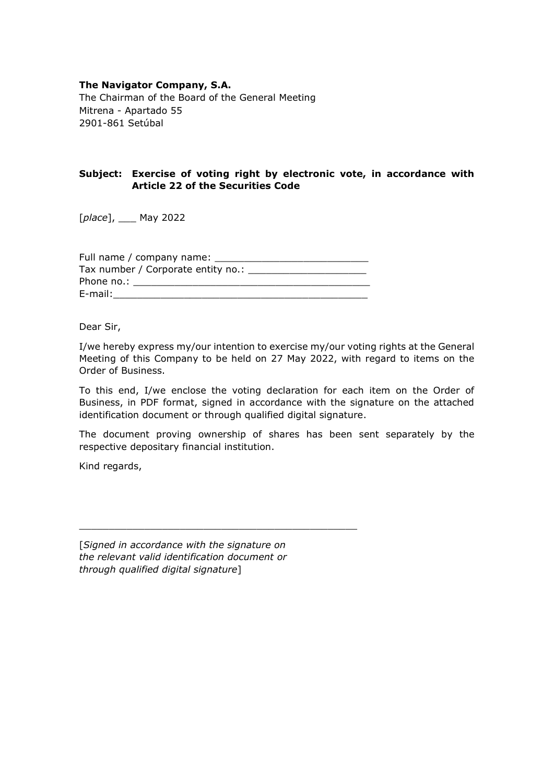### **The Navigator Company, S.A.**

The Chairman of the Board of the General Meeting Mitrena - Apartado 55 2901-861 Setúbal

## **Subject: Exercise of voting right by electronic vote, in accordance with Article 22 of the Securities Code**

[*place*], \_\_\_ May 2022

| Full name / company name: _          |
|--------------------------------------|
| Tax number / Corporate entity no.: _ |
| Phone no.:                           |
| E-mail:                              |

Dear Sir,

I/we hereby express my/our intention to exercise my/our voting rights at the General Meeting of this Company to be held on 27 May 2022, with regard to items on the Order of Business.

To this end, I/we enclose the voting declaration for each item on the Order of Business, in PDF format, signed in accordance with the signature on the attached identification document or through qualified digital signature.

The document proving ownership of shares has been sent separately by the respective depositary financial institution.

Kind regards,

[*Signed in accordance with the signature on the relevant valid identification document or through qualified digital signature*]

\_\_\_\_\_\_\_\_\_\_\_\_\_\_\_\_\_\_\_\_\_\_\_\_\_\_\_\_\_\_\_\_\_\_\_\_\_\_\_\_\_\_\_\_\_\_\_